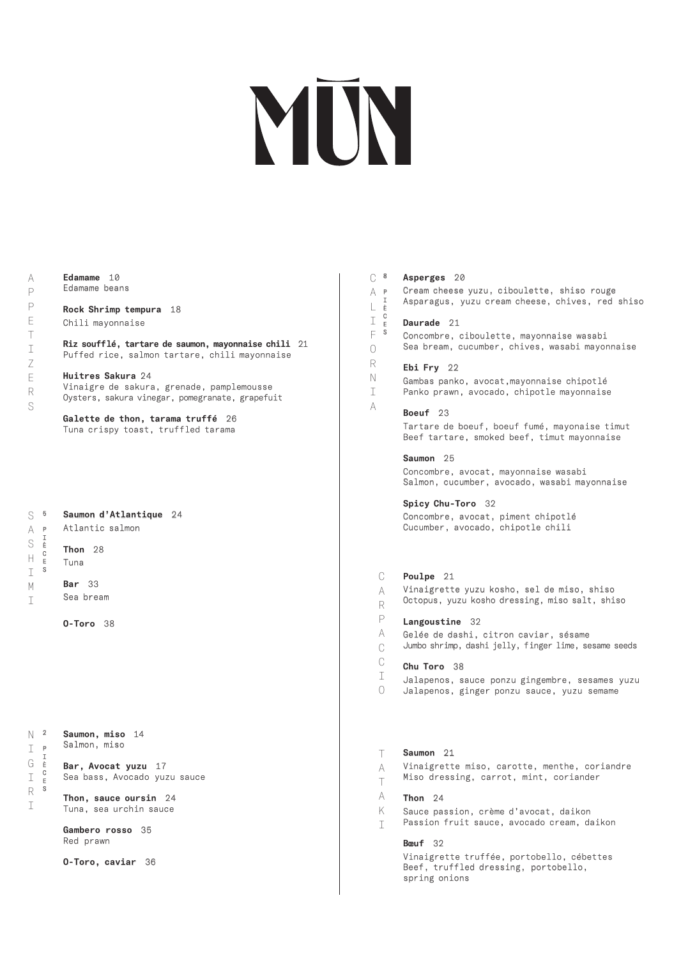# MUN

## Edamame 10 Edamame beans

# Rock Shrimp tempura 18

Chili mayonnaise

Riz soufflé, tartare de saumon, mayonnaise chili 21 Puffed rice, salmon tartare, chili mayonnaise

Huitres Sakura 24 Vinaigre de sakura, grenade, pamplemousse Oysters, sakura vinegar, pomegranate, grapefuit

Galette de thon, tarama truffé 26 Tuna crispy toast, truffled tarama

# Saumon d'Atlantique 24 Atlantic salmon

# Thon 28

- Tuna
- Bar 33 Sea bream
	- O-Toro 38

Bar, Avocat yuzu 17 Sea bass, Avocado yuzu sauce

Thon, sauce oursin 24 Tuna, sea urchin sauce

Gambero rosso 35 Red prawn

O-Toro, caviar 36

| $\mathcal C$<br>$\boldsymbol{8}$<br>A P<br>I<br>L<br>È<br>C.<br>$\mathbbm{I}$<br>E<br>S<br>F<br>$\bigcirc$<br>R<br>$\mathbb N$<br>I<br>A | Asperges 20<br>Cream cheese yuzu, ciboulette, shiso rouge<br>Asparagus, yuzu cream cheese, chives, red shiso                                                                                                                                                                                                                                |
|------------------------------------------------------------------------------------------------------------------------------------------|---------------------------------------------------------------------------------------------------------------------------------------------------------------------------------------------------------------------------------------------------------------------------------------------------------------------------------------------|
|                                                                                                                                          | Daurade 21<br>Concombre, ciboulette, mayonnaise wasabi<br>Sea bream, cucumber, chives, wasabi mayonnaise                                                                                                                                                                                                                                    |
|                                                                                                                                          | Ebi Fry 22<br>Gambas panko, avocat, mayonnaise chipotlé<br>Panko prawn, avocado, chipotle mayonnaise                                                                                                                                                                                                                                        |
|                                                                                                                                          | Boeuf 23<br>Tartare de boeuf, boeuf fumé, mayonaise timut<br>Beef tartare, smoked beef, timut mayonnaise                                                                                                                                                                                                                                    |
|                                                                                                                                          | Saumon 25<br>Concombre, avocat, mayonnaise wasabi<br>Salmon, cucumber, avocado, wasabi mayonnaise                                                                                                                                                                                                                                           |
|                                                                                                                                          | Spicy Chu-Toro 32<br>Concombre, avocat, piment chipotlé<br>Cucumber, avocado, chipotle chili                                                                                                                                                                                                                                                |
| $\mathcal C$<br>A<br>$R_{\rm}$<br>$\mathsf{P}$<br>A<br>$\mathcal{C}$<br>$\mathcal C$<br>T<br>$\left( \ \right)$                          | Poulpe 21<br>Vinaigrette yuzu kosho, sel de miso, shiso<br>Octopus, yuzu kosho dressing, miso salt, shiso<br>Langoustine 32<br>Gelée de dashi, citron caviar, sésame<br>Jumbo shrimp, dashi jelly, finger lime, sesame seeds<br>Chu Toro 38<br>Jalapenos, sauce ponzu gingembre, sesames yuzu<br>Jalapenos, ginger ponzu sauce, yuzu semame |
| Τ<br>A<br>$\top$<br>A<br>K<br>I                                                                                                          | Saumon 21<br>Vinaigrette miso, carotte, menthe, coriandre<br>Miso dressing, carrot, mint, coriander<br>Thon $24$<br>Sauce passion, crème d'avocat, daikon<br>Passion fruit sauce, avocado cream, daikon                                                                                                                                     |
|                                                                                                                                          | <b>Bœuf</b> 32<br>Vinaigrette truffée, portobello, cébettes<br>Beef, truffled dressing, portobello,<br>spring onions                                                                                                                                                                                                                        |

 $\mathsf{S}$  5 P A S S H I M  $\top$ 

2 N P I I È G C E S R

I

I

I È C E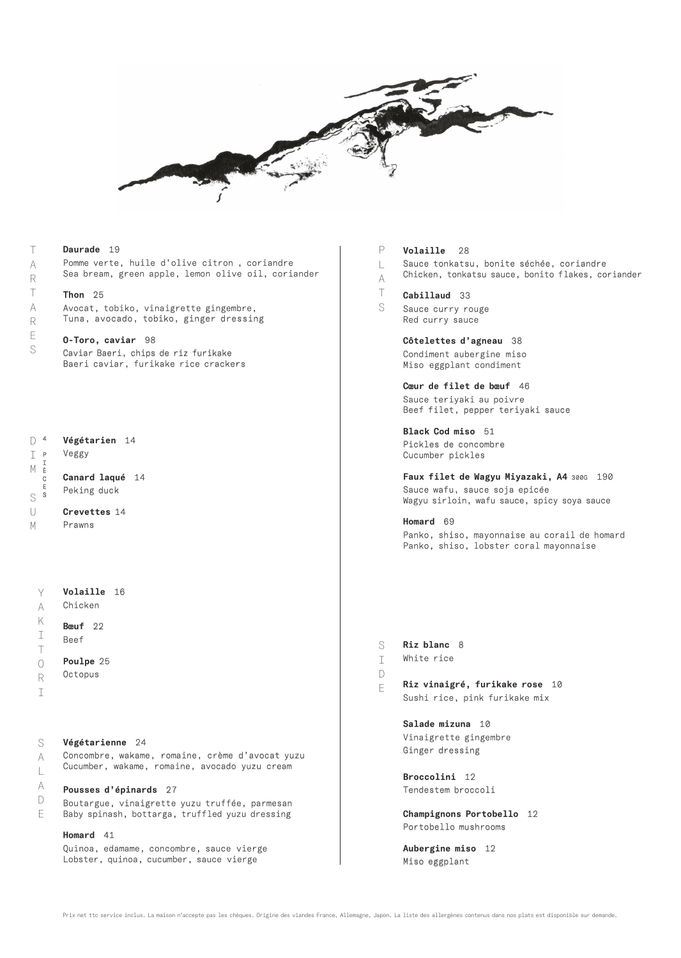

#### Volaille 16 Chicken Bœuf 22 Beef Poulpe 25 **Octopus** L A T S S  $\top$ D E Y A K I T O R I S A Végétarien 14 Veggy Canard laqué 14 Peking duck Crevettes 14 Prawns Végétarienne 24 Concombre, wakame, romaine, crème d'avocat yuzu D 4 I P M S U M I È C E S Pomme verte, huile d'olive citron , coriandre Sea bream, green apple, lemon olive oil, coriander Thon 25 Avocat, tobiko, vinaigrette gingembre, Tuna, avocado, tobiko, ginger dressing O-Toro, caviar 98 Caviar Baeri, chips de riz furikake Baeri caviar, furikake rice crackers A R T A R E S

Cucumber, wakame, romaine, avocado yuzu cream Pousses d'épinards 27

 $\mathbb{L}$ A D E Daurade 19

T

Boutargue, vinaigrette yuzu truffée, parmesan Baby spinash, bottarga, truffled yuzu dressing

Homard 41 Quinoa, edamame, concombre, sauce vierge Lobster, quinoa, cucumber, sauce vierge

Volaille 28 P

Sauce tonkatsu, bonite séchée, coriandre

Chicken, tonkatsu sauce, bonito flakes, coriander

# Cabillaud 33

Sauce curry rouge Red curry sauce

> Côtelettes d'agneau 38 Condiment aubergine miso Miso eggplant condiment

Cœur de filet de bœuf 46 Sauce teriyaki au poivre Beef filet, pepper teriyaki sauce

Black Cod miso 51 Pickles de concombre Cucumber pickles

Faux filet de Wagyu Miyazaki, A4 300G 190 Sauce wafu, sauce soja epicée Wagyu sirloin, wafu sauce, spicy soya sauce

Homard 69 Panko, shiso, mayonnaise au corail de homard Panko, shiso, lobster coral mayonnaise

- Riz blanc 8
- White rice
- 
- Riz vinaigré, furikake rose 10 Sushi rice, pink furikake mix

Salade mizuna 10 Vinaigrette gingembre Ginger dressing

Broccolini 12 Tendestem broccoli

Champignons Portobello 12 Portobello mushrooms

Aubergine miso 12 Miso eggplant